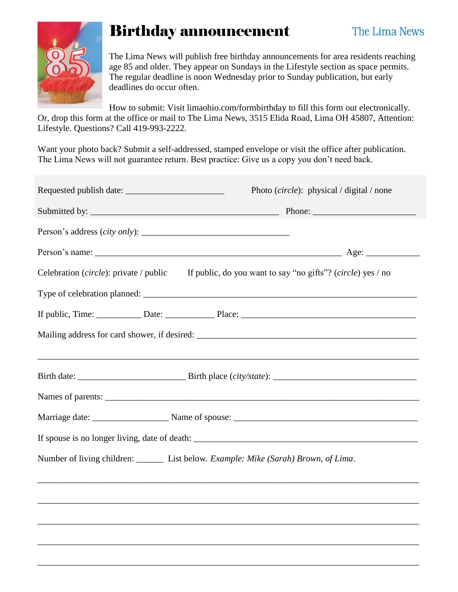

## Birthday announcement

The Lima News will publish free birthday announcements for area residents reaching age 85 and older. They appear on Sundays in the Lifestyle section as space permits. The regular deadline is noon Wednesday prior to Sunday publication, but early deadlines do occur often.

How to submit: Visit limaohio.com/formbirthday to fill this form out electronically. Or, drop this form at the office or mail to The Lima News, 3515 Elida Road, Lima OH 45807, Attention: Lifestyle. Questions? Call 419-993-2222.

Want your photo back? Submit a self-addressed, stamped envelope or visit the office after publication. The Lima News will not guarantee return. Best practice: Give us a copy you don't need back.

| Photo (circle): physical / digital / none                                                          |
|----------------------------------------------------------------------------------------------------|
|                                                                                                    |
|                                                                                                    |
|                                                                                                    |
| Celebration (circle): private / public If public, do you want to say "no gifts"? (circle) yes / no |
|                                                                                                    |
|                                                                                                    |
|                                                                                                    |
|                                                                                                    |
|                                                                                                    |
|                                                                                                    |
|                                                                                                    |
| Number of living children: ________ List below. Example: Mike (Sarah) Brown, of Lima.              |
|                                                                                                    |
|                                                                                                    |
|                                                                                                    |
|                                                                                                    |
|                                                                                                    |